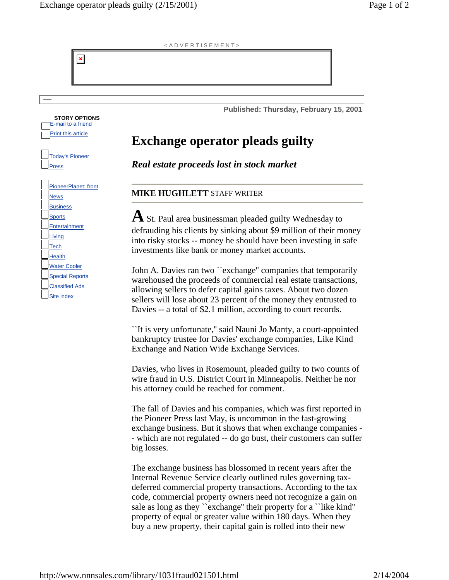Today's Pioneer

**STORY OPTIONS**  E-mail to a friend **Print this article** 

 $\pmb{\times}$ 

PioneerPlanet: front

Press

**News Business Sports Entertainment** Living **Tech Health** Water Cooler Special Reports Classified Ads Site index

## < A D V E R T I S E M E N T >

**Published: Thursday, February 15, 2001** 

## **Exchange operator pleads guilty**

*Real estate proceeds lost in stock market*

## **MIKE HUGHLETT** STAFF WRITER

**A** St. Paul area businessman pleaded guilty Wednesday to defrauding his clients by sinking about \$9 million of their money into risky stocks -- money he should have been investing in safe investments like bank or money market accounts.

John A. Davies ran two ``exchange'' companies that temporarily warehoused the proceeds of commercial real estate transactions, allowing sellers to defer capital gains taxes. About two dozen sellers will lose about 23 percent of the money they entrusted to Davies -- a total of \$2.1 million, according to court records.

``It is very unfortunate,'' said Nauni Jo Manty, a court-appointed bankruptcy trustee for Davies' exchange companies, Like Kind Exchange and Nation Wide Exchange Services.

Davies, who lives in Rosemount, pleaded guilty to two counts of wire fraud in U.S. District Court in Minneapolis. Neither he nor his attorney could be reached for comment.

The fall of Davies and his companies, which was first reported in the Pioneer Press last May, is uncommon in the fast-growing exchange business. But it shows that when exchange companies - - which are not regulated -- do go bust, their customers can suffer big losses.

The exchange business has blossomed in recent years after the Internal Revenue Service clearly outlined rules governing taxdeferred commercial property transactions. According to the tax code, commercial property owners need not recognize a gain on sale as long as they ``exchange'' their property for a ``like kind'' property of equal or greater value within 180 days. When they buy a new property, their capital gain is rolled into their new